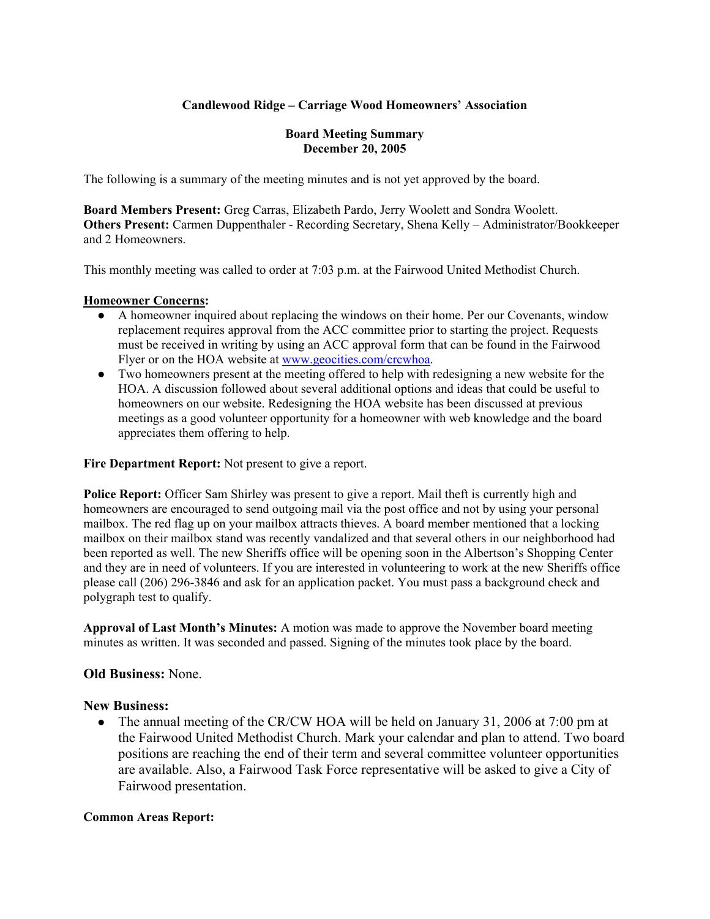## **Candlewood Ridge – Carriage Wood Homeowners' Association**

### **Board Meeting Summary December 20, 2005**

The following is a summary of the meeting minutes and is not yet approved by the board.

**Board Members Present:** Greg Carras, Elizabeth Pardo, Jerry Woolett and Sondra Woolett. **Others Present:** Carmen Duppenthaler - Recording Secretary, Shena Kelly – Administrator/Bookkeeper and 2 Homeowners.

This monthly meeting was called to order at 7:03 p.m. at the Fairwood United Methodist Church.

### **Homeowner Concerns:**

- A homeowner inquired about replacing the windows on their home. Per our Covenants, window replacement requires approval from the ACC committee prior to starting the project. Requests must be received in writing by using an ACC approval form that can be found in the Fairwood Flyer or on the HOA website at www.geocities.com/crcwhoa.
- Two homeowners present at the meeting offered to help with redesigning a new website for the HOA. A discussion followed about several additional options and ideas that could be useful to homeowners on our website. Redesigning the HOA website has been discussed at previous meetings as a good volunteer opportunity for a homeowner with web knowledge and the board appreciates them offering to help.

**Fire Department Report:** Not present to give a report.

**Police Report:** Officer Sam Shirley was present to give a report. Mail theft is currently high and homeowners are encouraged to send outgoing mail via the post office and not by using your personal mailbox. The red flag up on your mailbox attracts thieves. A board member mentioned that a locking mailbox on their mailbox stand was recently vandalized and that several others in our neighborhood had been reported as well. The new Sheriffs office will be opening soon in the Albertson's Shopping Center and they are in need of volunteers. If you are interested in volunteering to work at the new Sheriffs office please call (206) 296-3846 and ask for an application packet. You must pass a background check and polygraph test to qualify.

**Approval of Last Month's Minutes:** A motion was made to approve the November board meeting minutes as written. It was seconded and passed. Signing of the minutes took place by the board.

## **Old Business:** None.

## **New Business:**

• The annual meeting of the CR/CW HOA will be held on January 31, 2006 at 7:00 pm at the Fairwood United Methodist Church. Mark your calendar and plan to attend. Two board positions are reaching the end of their term and several committee volunteer opportunities are available. Also, a Fairwood Task Force representative will be asked to give a City of Fairwood presentation.

### **Common Areas Report:**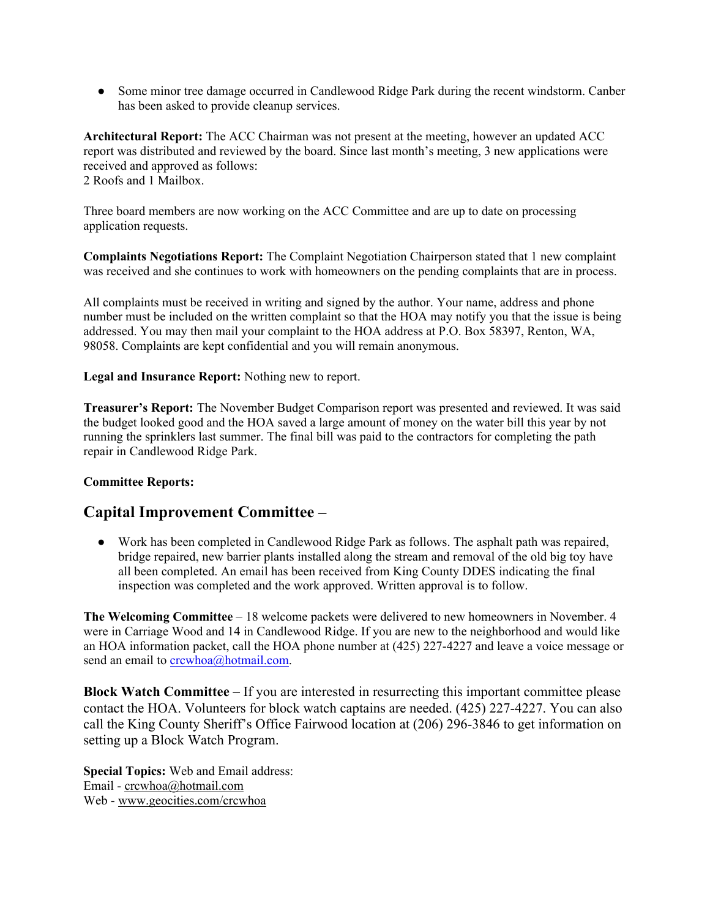• Some minor tree damage occurred in Candlewood Ridge Park during the recent windstorm. Canber has been asked to provide cleanup services.

**Architectural Report:** The ACC Chairman was not present at the meeting, however an updated ACC report was distributed and reviewed by the board. Since last month's meeting, 3 new applications were received and approved as follows: 2 Roofs and 1 Mailbox.

Three board members are now working on the ACC Committee and are up to date on processing application requests.

**Complaints Negotiations Report:** The Complaint Negotiation Chairperson stated that 1 new complaint was received and she continues to work with homeowners on the pending complaints that are in process.

All complaints must be received in writing and signed by the author. Your name, address and phone number must be included on the written complaint so that the HOA may notify you that the issue is being addressed. You may then mail your complaint to the HOA address at P.O. Box 58397, Renton, WA, 98058. Complaints are kept confidential and you will remain anonymous.

**Legal and Insurance Report:** Nothing new to report.

**Treasurer's Report:** The November Budget Comparison report was presented and reviewed. It was said the budget looked good and the HOA saved a large amount of money on the water bill this year by not running the sprinklers last summer. The final bill was paid to the contractors for completing the path repair in Candlewood Ridge Park.

## **Committee Reports:**

## **Capital Improvement Committee –**

● Work has been completed in Candlewood Ridge Park as follows. The asphalt path was repaired, bridge repaired, new barrier plants installed along the stream and removal of the old big toy have all been completed. An email has been received from King County DDES indicating the final inspection was completed and the work approved. Written approval is to follow.

**The Welcoming Committee** – 18 welcome packets were delivered to new homeowners in November. 4 were in Carriage Wood and 14 in Candlewood Ridge. If you are new to the neighborhood and would like an HOA information packet, call the HOA phone number at (425) 227-4227 and leave a voice message or send an email to crcwhoa@hotmail.com.

**Block Watch Committee** – If you are interested in resurrecting this important committee please contact the HOA. Volunteers for block watch captains are needed. (425) 227-4227. You can also call the King County Sheriff's Office Fairwood location at (206) 296-3846 to get information on setting up a Block Watch Program.

**Special Topics:** Web and Email address: Email - crcwhoa@hotmail.com Web - www.geocities.com/crcwhoa